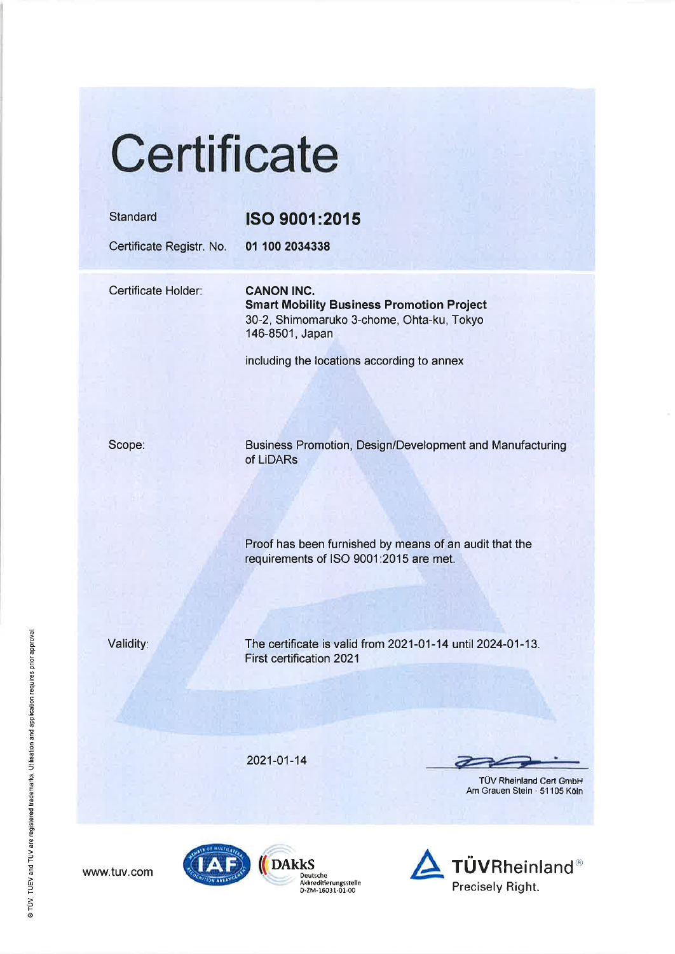# **Certificate**

| Standard<br>Certificate Registr. No. | ISO 9001:2015<br>01 100 2034338                                                                                                                                                     |
|--------------------------------------|-------------------------------------------------------------------------------------------------------------------------------------------------------------------------------------|
| Certificate Holder:                  | <b>CANON INC.</b><br><b>Smart Mobility Business Promotion Project</b><br>30-2, Shimomaruko 3-chome, Ohta-ku, Tokyo<br>146-8501, Japan<br>including the locations according to annex |
| Scope:                               | Business Promotion, Design/Development and Manufacturing<br>of LiDARs                                                                                                               |
|                                      | Proof has been furnished by means of an audit that the<br>requirements of ISO 9001:2015 are met.                                                                                    |
| Validity:                            | The certificate is valid from 2021-01-14 until 2024-01-13.<br><b>First certification 2021</b>                                                                                       |
|                                      | 2021-01-14<br>TÜV Rheinland Cert GmbH<br>Am Grauen Stein 51105 Köln                                                                                                                 |
| <b>OF MULTILE</b>                    |                                                                                                                                                                                     |

www.tuv.com



 $\bigcirc \hspace{-3.5mm}\bigcirc \hspace{-3.5mm}\bigcirc \hspace{-3.5mm}\bigcirc \hspace{-3.5mm}\text{\rm DARKS}\hspace{-3.5mm}_{\substack{\text{Dautschie}\atop \text{D-2M-16031-01-00}}}\hspace{-3.5mm}$ 

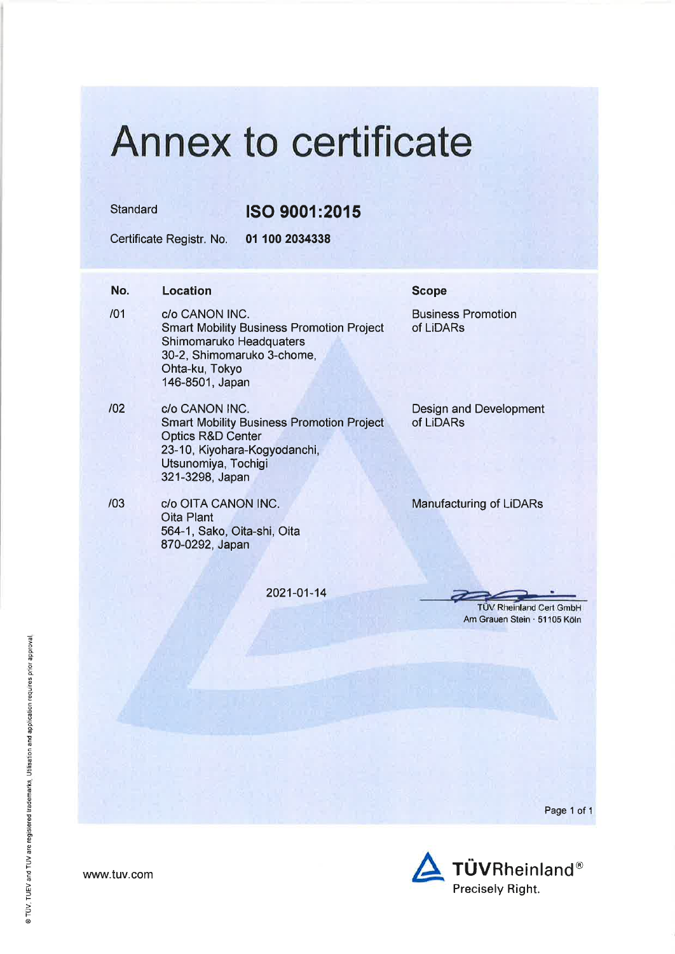### **Annex to certificate**

Standard

#### ISO 9001:2015

Certificate Registr. No.

01 100 2034338

| No. | <b>Location</b>                                                                                                                                                              | <b>Scope</b>                           |
|-----|------------------------------------------------------------------------------------------------------------------------------------------------------------------------------|----------------------------------------|
| /01 | c/o CANON INC.<br><b>Smart Mobility Business Promotion Project</b><br>Shimomaruko Headquaters<br>30-2, Shimomaruko 3-chome,<br>Ohta-ku, Tokyo<br>146-8501, Japan             | <b>Business Promotion</b><br>of LiDARs |
| 102 | c/o CANON INC.<br><b>Smart Mobility Business Promotion Project</b><br><b>Optics R&amp;D Center</b><br>23-10, Kiyohara-Kogyodanchi,<br>Utsunomiya, Tochigi<br>321-3298, Japan | Design and Development<br>of LiDARs    |
| /03 | c/o OITA CANON INC.<br>Oita Plant                                                                                                                                            | Manufacturing of LiDARs                |

564-1, Sako, Oita-shi, Oita<br>870-0292, Japan

2021-01-14

**TÜV Rheinland Cert GmbH** Am Grauen Stein · 51105 Köln

Page 1 of 1



www.tuv.com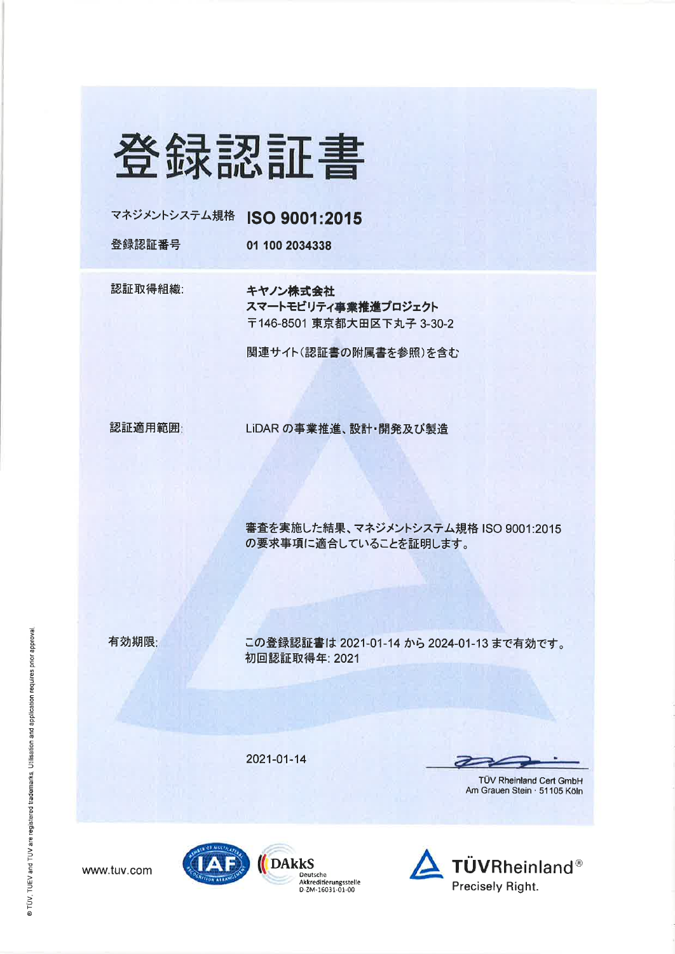

### マネジメントシステム規格 ISO 9001:2015

登録認証番号

01 100 2034338

認証取得組織:

キヤノン株式会社 スマートモビリティ事業推進プロジェクト 〒146-8501 東京都大田区下丸子 3-30-2

関連サイト(認証書の附属書を参照)を含む

認証適用範囲

LiDAR の事業推進、設計·開発及び製造

審査を実施した結果、マネジメントシステム規格 ISO 9001:2015 の要求事項に適合していることを証明します。

有効期限:

この登録認証書は 2021-01-14 から 2024-01-13 まで有効です。 初回認証取得年: 2021

2021-01-14

 $\overline{\phantom{a}}$ 

**TÜV Rheinland Cert GmbH** Am Grauen Stein · 51105 Köln





Deutsche<br>Akkreditierungsstelle<br>D-ZM-16031-01-00